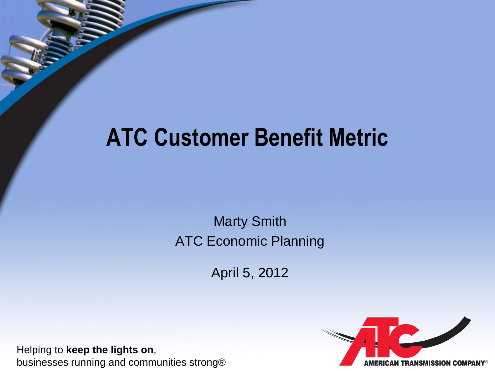## **ATC Customer Benefit Metric**

Marty Smith ATC Economic Planning

April 5, 2012

Helping to **keep the lights on**, businesses running and communities strong®

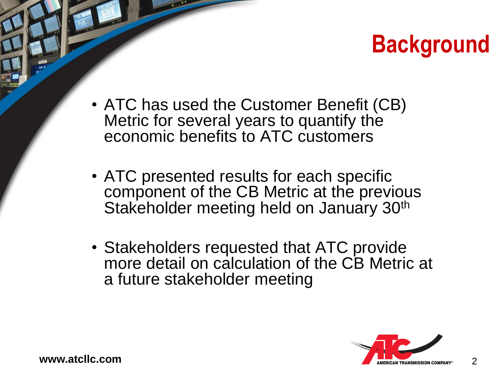## **Background**

- ATC has used the Customer Benefit (CB) Metric for several years to quantify the economic benefits to ATC customers
- ATC presented results for each specific component of the CB Metric at the previous Stakeholder meeting held on January 30<sup>th</sup>
- Stakeholders requested that ATC provide more detail on calculation of the CB Metric at a future stakeholder meeting

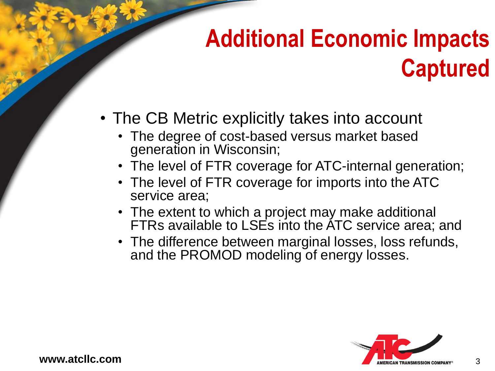# **Additional Economic Impacts Captured**

- The CB Metric explicitly takes into account
	- The degree of cost-based versus market based generation in Wisconsin;
	- The level of FTR coverage for ATC-internal generation;
	- The level of FTR coverage for imports into the ATC service area;
	- The extent to which a project may make additional FTRs available to LSEs into the ATC service area; and
	- The difference between marginal losses, loss refunds, and the PROMOD modeling of energy losses.

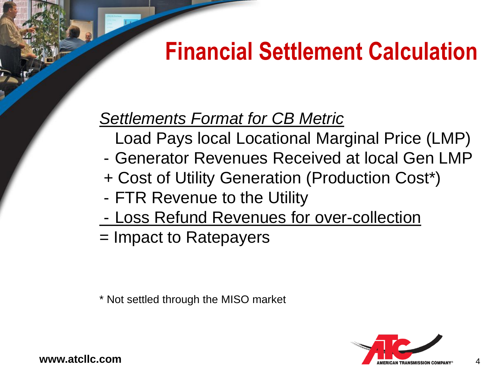## **Financial Settlement Calculation**

### *Settlements Format for CB Metric*

- Load Pays local Locational Marginal Price (LMP)
- Generator Revenues Received at local Gen LMP
- + Cost of Utility Generation (Production Cost\*)
- FTR Revenue to the Utility
- Loss Refund Revenues for over-collection
- = Impact to Ratepayers

\* Not settled through the MISO market



www.atcllc.com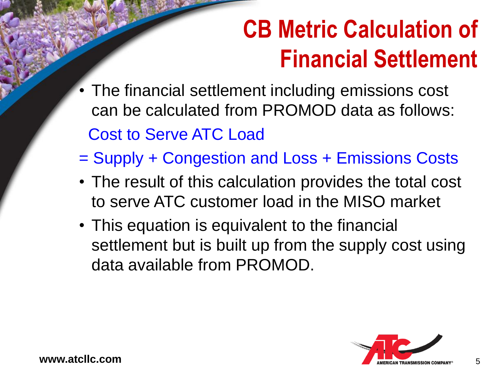## **CB Metric Calculation of Financial Settlement**

- The financial settlement including emissions cost can be calculated from PROMOD data as follows: Cost to Serve ATC Load
- = Supply + Congestion and Loss + Emissions Costs
- The result of this calculation provides the total cost to serve ATC customer load in the MISO market
- This equation is equivalent to the financial settlement but is built up from the supply cost using data available from PROMOD.

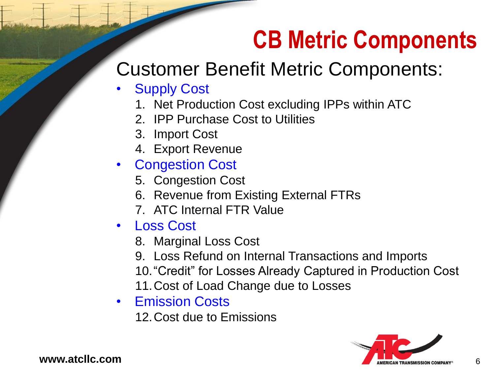## **CB Metric Components**

### Customer Benefit Metric Components:

- **Supply Cost** 
	- 1. Net Production Cost excluding IPPs within ATC
	- 2. IPP Purchase Cost to Utilities
	- 3. Import Cost
	- 4. Export Revenue
- **Congestion Cost** 
	- 5. Congestion Cost
	- 6. Revenue from Existing External FTRs
	- 7. ATC Internal FTR Value
- Loss Cost
	- 8. Marginal Loss Cost
	- 9. Loss Refund on Internal Transactions and Imports 10."Credit" for Losses Already Captured in Production Cost 11.Cost of Load Change due to Losses
- Emission Costs
	- 12.Cost due to Emissions

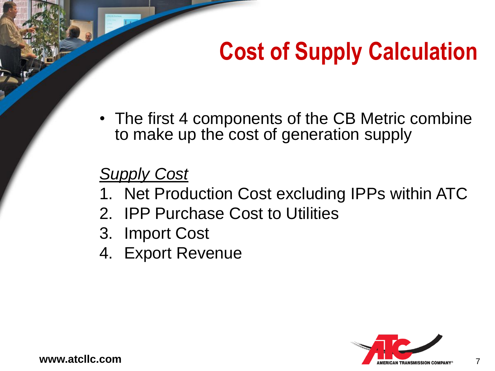## **Cost of Supply Calculation**

• The first 4 components of the CB Metric combine to make up the cost of generation supply

#### *Supply Cost*

- 1. Net Production Cost excluding IPPs within ATC
- 2. IPP Purchase Cost to Utilities
- 3. Import Cost
- 4. Export Revenue

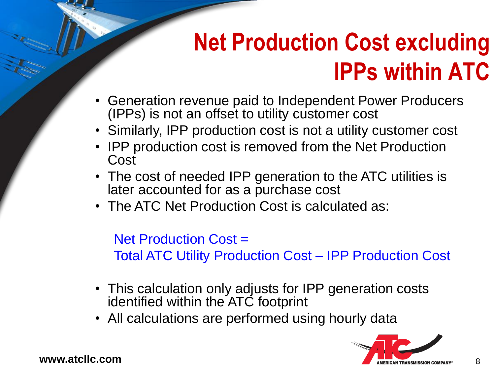## **Net Production Cost excluding IPPs within ATC**

- Generation revenue paid to Independent Power Producers (IPPs) is not an offset to utility customer cost
- Similarly, IPP production cost is not a utility customer cost
- IPP production cost is removed from the Net Production Cost
- The cost of needed IPP generation to the ATC utilities is later accounted for as a purchase cost
- The ATC Net Production Cost is calculated as:

Net Production Cost = Total ATC Utility Production Cost – IPP Production Cost

- This calculation only adjusts for IPP generation costs identified within the ATC footprint
- All calculations are performed using hourly data

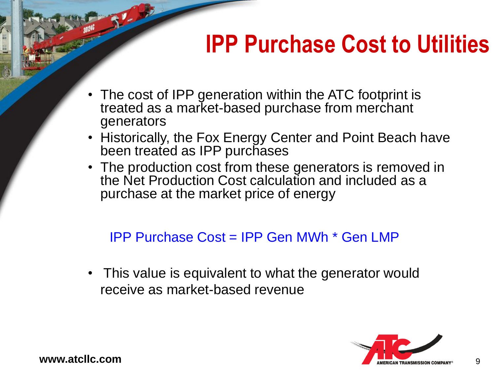## **IPP Purchase Cost to Utilities**

- The cost of IPP generation within the ATC footprint is treated as a market-based purchase from merchant generators
- Historically, the Fox Energy Center and Point Beach have been treated as IPP purchases
- The production cost from these generators is removed in the Net Production Cost calculation and included as a purchase at the market price of energy

#### IPP Purchase Cost = IPP Gen MWh \* Gen LMP

• This value is equivalent to what the generator would receive as market-based revenue

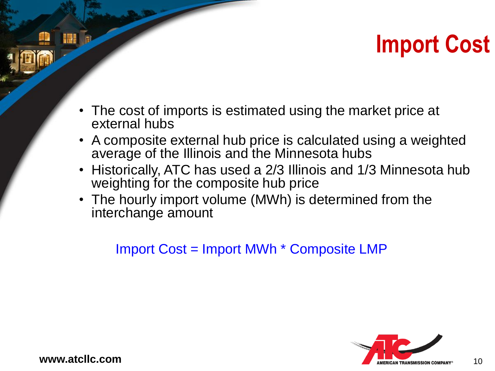## **Import Cost**

- The cost of imports is estimated using the market price at external hubs
- A composite external hub price is calculated using a weighted average of the Illinois and the Minnesota hubs
- Historically, ATC has used a 2/3 Illinois and 1/3 Minnesota hub weighting for the composite hub price
- The hourly import volume (MWh) is determined from the interchange amount

#### Import Cost = Import MWh \* Composite LMP

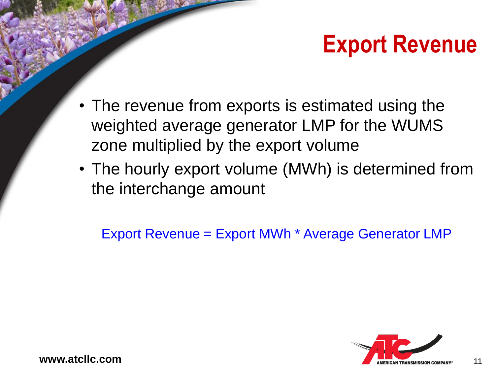## **Export Revenue**

- The revenue from exports is estimated using the weighted average generator LMP for the WUMS zone multiplied by the export volume
- The hourly export volume (MWh) is determined from the interchange amount

Export Revenue = Export MWh \* Average Generator LMP

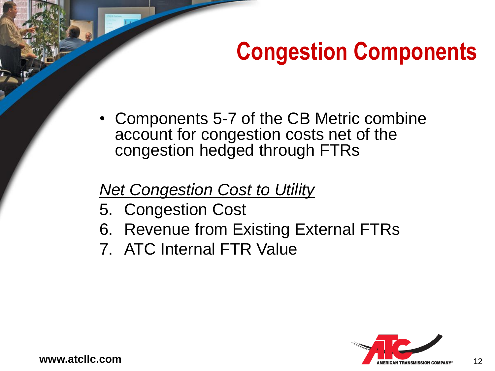## **Congestion Components**

• Components 5-7 of the CB Metric combine account for congestion costs net of the congestion hedged through FTRs

#### *Net Congestion Cost to Utility*

- 5. Congestion Cost
- 6. Revenue from Existing External FTRs
- 7. ATC Internal FTR Value

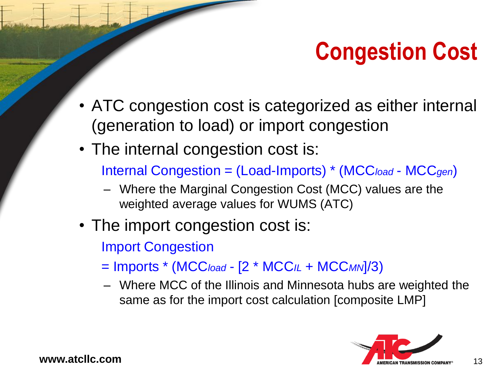## **Congestion Cost**

- ATC congestion cost is categorized as either internal (generation to load) or import congestion
- The internal congestion cost is:

Internal Congestion = (Load-Imports) \* (MCC*load* - MCC*gen*)

- Where the Marginal Congestion Cost (MCC) values are the weighted average values for WUMS (ATC)
- The import congestion cost is:

Import Congestion

- = Imports \* (MCC*load* [2 \* MCC*IL* + MCC*MN*]/3)
- Where MCC of the Illinois and Minnesota hubs are weighted the same as for the import cost calculation [composite LMP]

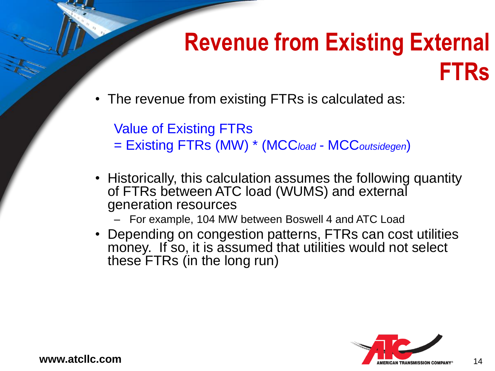### **Revenue from Existing External FTRs**

The revenue from existing FTRs is calculated as:

Value of Existing FTRs

- = Existing FTRs (MW) \* (MCC*load* MCC*outsidegen*)
- Historically, this calculation assumes the following quantity of FTRs between ATC load (WUMS) and external generation resources
	- For example, 104 MW between Boswell 4 and ATC Load
- Depending on congestion patterns, FTRs can cost utilities money. If so, it is assumed that utilities would not select these FTRs (in the long run)

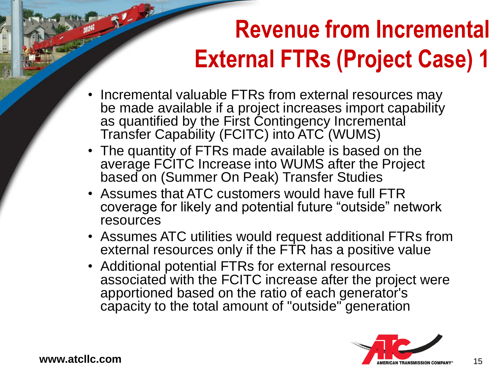# **Revenue from Incremental External FTRs (Project Case) 1**

- Incremental valuable FTRs from external resources may be made available if a project increases import capability as quantified by the First Contingency Incremental Transfer Capability (FCITC) into ATC (WUMS)
- The quantity of FTRs made available is based on the average FCITC Increase into WUMS after the Project based on (Summer On Peak) Transfer Studies
- Assumes that ATC customers would have full FTR coverage for likely and potential future "outside" network resources
- Assumes ATC utilities would request additional FTRs from external resources only if the FTR has a positive value
- Additional potential FTRs for external resources associated with the FCITC increase after the project were apportioned based on the ratio of each generator's capacity to the total amount of "outside" generation

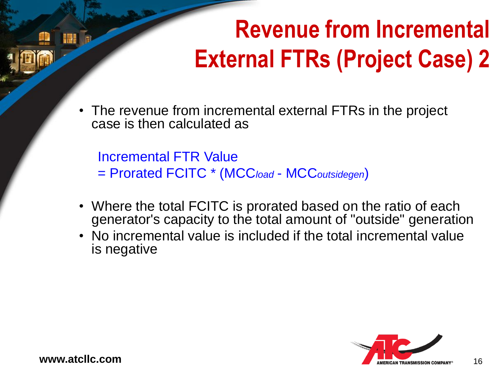# **Revenue from Incremental External FTRs (Project Case) 2**

The revenue from incremental external FTRs in the project case is then calculated as

Incremental FTR Value = Prorated FCITC \* (MCC*load* - MCC*outsidegen*)

- Where the total FCITC is prorated based on the ratio of each generator's capacity to the total amount of "outside" generation
- No incremental value is included if the total incremental value is negative

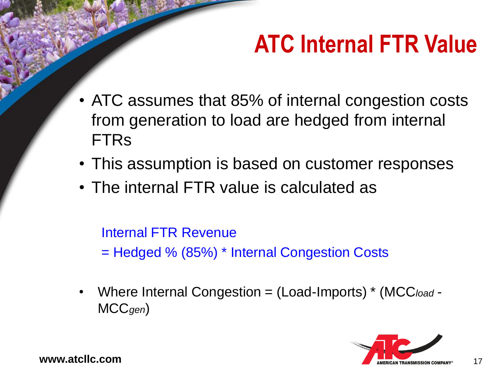## **ATC Internal FTR Value**

- ATC assumes that 85% of internal congestion costs from generation to load are hedged from internal FTRs
- This assumption is based on customer responses
- The internal FTR value is calculated as

Internal FTR Revenue = Hedged % (85%) \* Internal Congestion Costs

• Where Internal Congestion = (Load-Imports) \* (MCC*load* - MCC*gen*)

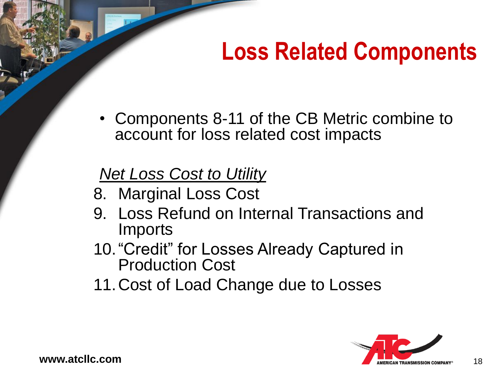## **Loss Related Components**

• Components 8-11 of the CB Metric combine to account for loss related cost impacts

### *Net Loss Cost to Utility*

- 8. Marginal Loss Cost
- 9. Loss Refund on Internal Transactions and Imports
- 10."Credit" for Losses Already Captured in Production Cost
- 11.Cost of Load Change due to Losses

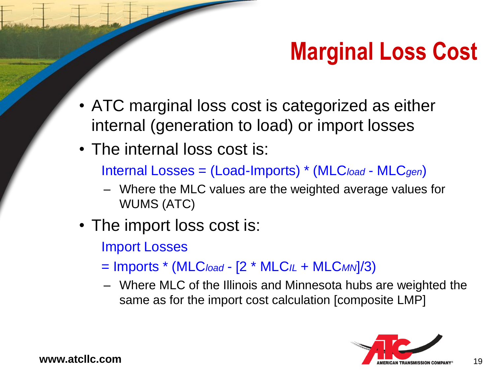## **Marginal Loss Cost**

- ATC marginal loss cost is categorized as either internal (generation to load) or import losses
- The internal loss cost is:

Internal Losses = (Load-Imports) \* (MLC*load* - MLC*gen*)

- Where the MLC values are the weighted average values for WUMS (ATC)
- The import loss cost is:
	- Import Losses
	- = Imports \* (MLC*load* [2 \* MLC*IL* + MLC*MN*]/3)
	- Where MLC of the Illinois and Minnesota hubs are weighted the same as for the import cost calculation [composite LMP]

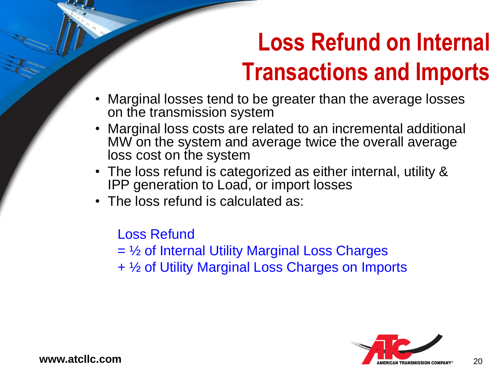## **Loss Refund on Internal Transactions and Imports**

- Marginal losses tend to be greater than the average losses on the transmission system
- Marginal loss costs are related to an incremental additional MW on the system and average twice the overall average loss cost on the system
- The loss refund is categorized as either internal, utility & IPP generation to Load, or import losses
- The loss refund is calculated as:

Loss Refund

= ½ of Internal Utility Marginal Loss Charges

+ ½ of Utility Marginal Loss Charges on Imports

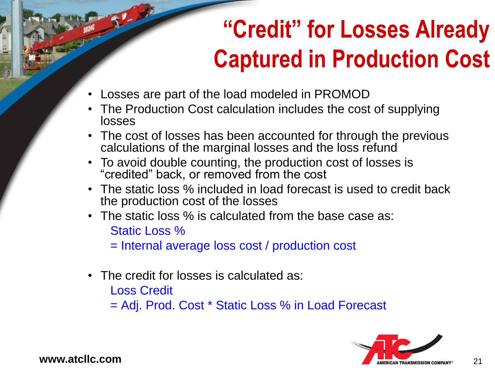## **"Credit" for Losses Already Captured in Production Cost**

- Losses are part of the load modeled in PROMOD
- The Production Cost calculation includes the cost of supplying losses
- The cost of losses has been accounted for through the previous calculations of the marginal losses and the loss refund
- To avoid double counting, the production cost of losses is "credited" back, or removed from the cost
- The static loss % included in load forecast is used to credit back the production cost of the losses
- The static loss % is calculated from the base case as: Static Loss %

= Internal average loss cost / production cost

• The credit for losses is calculated as:

Loss Credit

= Adj. Prod. Cost \* Static Loss % in Load Forecast

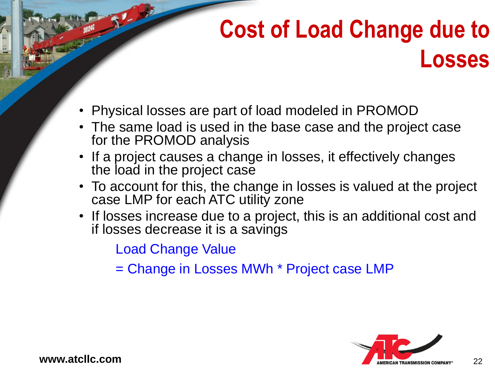## **Cost of Load Change due to Losses**

- Physical losses are part of load modeled in PROMOD
- The same load is used in the base case and the project case for the PROMOD analysis
- If a project causes a change in losses, it effectively changes the load in the project case
- To account for this, the change in losses is valued at the project case LMP for each ATC utility zone
- If losses increase due to a project, this is an additional cost and if losses decrease it is a savings

Load Change Value

= Change in Losses MWh \* Project case LMP

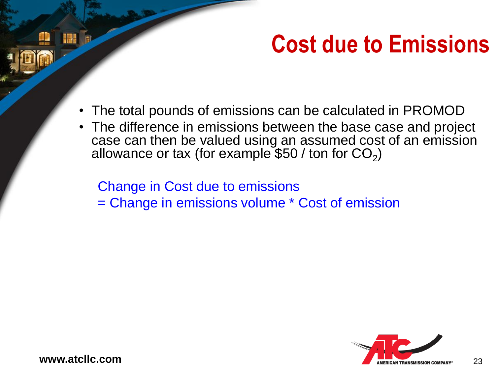## **Cost due to Emissions**

- The total pounds of emissions can be calculated in PROMOD
- The difference in emissions between the base case and project case can then be valued using an assumed cost of an emission allowance or tax (for example \$50 / ton for CO<sub>2</sub>)

Change in Cost due to emissions

= Change in emissions volume \* Cost of emission

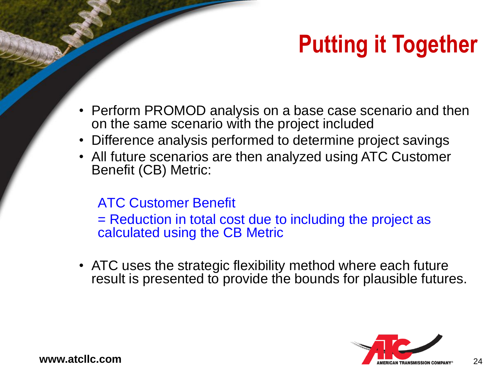# **Putting it Together**

- Perform PROMOD analysis on a base case scenario and then on the same scenario with the project included
- Difference analysis performed to determine project savings
- All future scenarios are then analyzed using ATC Customer Benefit (CB) Metric:

#### ATC Customer Benefit

= Reduction in total cost due to including the project as calculated using the CB Metric

• ATC uses the strategic flexibility method where each future result is presented to provide the bounds for plausible futures.

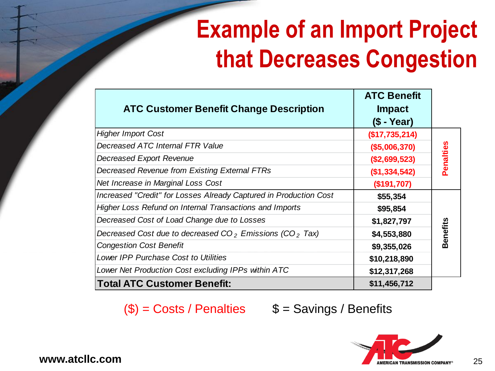## **Example of an Import Project that Decreases Congestion**

| <b>ATC Customer Benefit Change Description</b>                        | <b>ATC Benefit</b><br><b>Impact</b><br>$(S - Year)$ |           |
|-----------------------------------------------------------------------|-----------------------------------------------------|-----------|
| <b>Higher Import Cost</b>                                             | (\$17,735,214)                                      | Penalties |
| Decreased ATC Internal FTR Value                                      | (\$5,006,370)                                       |           |
| <b>Decreased Export Revenue</b>                                       | (\$2,699,523)                                       |           |
| Decreased Revenue from Existing External FTRs                         | (\$1,334,542)                                       |           |
| Net Increase in Marginal Loss Cost                                    | (\$191,707)                                         |           |
| Increased "Credit" for Losses Already Captured in Production Cost     | \$55,354                                            | Benefits  |
| <b>Higher Loss Refund on Internal Transactions and Imports</b>        | \$95,854                                            |           |
| Decreased Cost of Load Change due to Losses                           | \$1,827,797                                         |           |
| Decreased Cost due to decreased $CO2$ Emissions (CO <sub>2</sub> Tax) | \$4,553,880                                         |           |
| <b>Congestion Cost Benefit</b>                                        | \$9,355,026                                         |           |
| Lower IPP Purchase Cost to Utilities                                  | \$10,218,890                                        |           |
| Lower Net Production Cost excluding IPPs within ATC                   | \$12,317,268                                        |           |
| <b>Total ATC Customer Benefit:</b>                                    | \$11,456,712                                        |           |

 $(\$) = \text{Costs / Penalties}$  \$ = Savings / Benefits